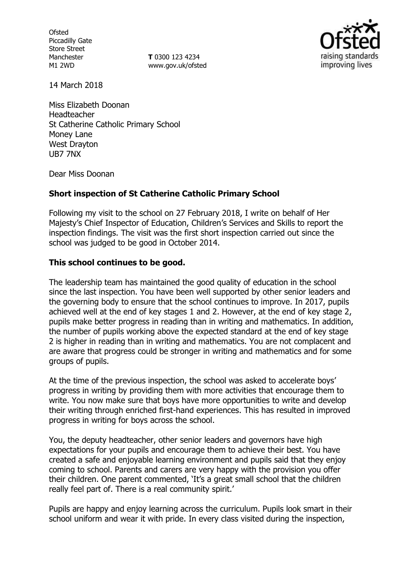**Ofsted** Piccadilly Gate Store Street Manchester M1 2WD

**T** 0300 123 4234 www.gov.uk/ofsted



14 March 2018

Miss Elizabeth Doonan Headteacher St Catherine Catholic Primary School Money Lane West Drayton UB7 7NX

Dear Miss Doonan

## **Short inspection of St Catherine Catholic Primary School**

Following my visit to the school on 27 February 2018, I write on behalf of Her Majesty's Chief Inspector of Education, Children's Services and Skills to report the inspection findings. The visit was the first short inspection carried out since the school was judged to be good in October 2014.

### **This school continues to be good.**

The leadership team has maintained the good quality of education in the school since the last inspection. You have been well supported by other senior leaders and the governing body to ensure that the school continues to improve. In 2017, pupils achieved well at the end of key stages 1 and 2. However, at the end of key stage 2, pupils make better progress in reading than in writing and mathematics. In addition, the number of pupils working above the expected standard at the end of key stage 2 is higher in reading than in writing and mathematics. You are not complacent and are aware that progress could be stronger in writing and mathematics and for some groups of pupils.

At the time of the previous inspection, the school was asked to accelerate boys' progress in writing by providing them with more activities that encourage them to write. You now make sure that boys have more opportunities to write and develop their writing through enriched first-hand experiences. This has resulted in improved progress in writing for boys across the school.

You, the deputy headteacher, other senior leaders and governors have high expectations for your pupils and encourage them to achieve their best. You have created a safe and enjoyable learning environment and pupils said that they enjoy coming to school. Parents and carers are very happy with the provision you offer their children. One parent commented, 'It's a great small school that the children really feel part of. There is a real community spirit.'

Pupils are happy and enjoy learning across the curriculum. Pupils look smart in their school uniform and wear it with pride. In every class visited during the inspection,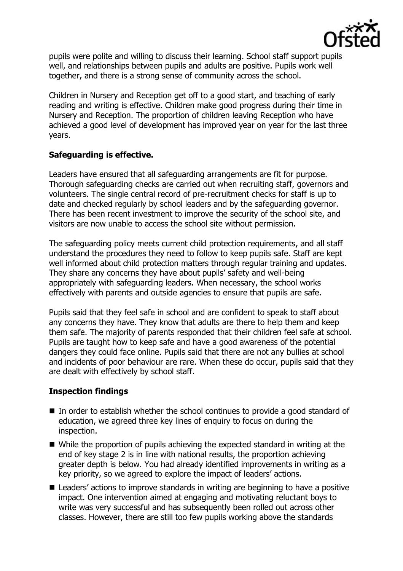

pupils were polite and willing to discuss their learning. School staff support pupils well, and relationships between pupils and adults are positive. Pupils work well together, and there is a strong sense of community across the school.

Children in Nursery and Reception get off to a good start, and teaching of early reading and writing is effective. Children make good progress during their time in Nursery and Reception. The proportion of children leaving Reception who have achieved a good level of development has improved year on year for the last three years.

# **Safeguarding is effective.**

Leaders have ensured that all safeguarding arrangements are fit for purpose. Thorough safeguarding checks are carried out when recruiting staff, governors and volunteers. The single central record of pre-recruitment checks for staff is up to date and checked regularly by school leaders and by the safeguarding governor. There has been recent investment to improve the security of the school site, and visitors are now unable to access the school site without permission.

The safeguarding policy meets current child protection requirements, and all staff understand the procedures they need to follow to keep pupils safe. Staff are kept well informed about child protection matters through regular training and updates. They share any concerns they have about pupils' safety and well-being appropriately with safeguarding leaders. When necessary, the school works effectively with parents and outside agencies to ensure that pupils are safe.

Pupils said that they feel safe in school and are confident to speak to staff about any concerns they have. They know that adults are there to help them and keep them safe. The majority of parents responded that their children feel safe at school. Pupils are taught how to keep safe and have a good awareness of the potential dangers they could face online. Pupils said that there are not any bullies at school and incidents of poor behaviour are rare. When these do occur, pupils said that they are dealt with effectively by school staff.

# **Inspection findings**

- In order to establish whether the school continues to provide a good standard of education, we agreed three key lines of enquiry to focus on during the inspection.
- While the proportion of pupils achieving the expected standard in writing at the end of key stage 2 is in line with national results, the proportion achieving greater depth is below. You had already identified improvements in writing as a key priority, so we agreed to explore the impact of leaders' actions.
- Leaders' actions to improve standards in writing are beginning to have a positive impact. One intervention aimed at engaging and motivating reluctant boys to write was very successful and has subsequently been rolled out across other classes. However, there are still too few pupils working above the standards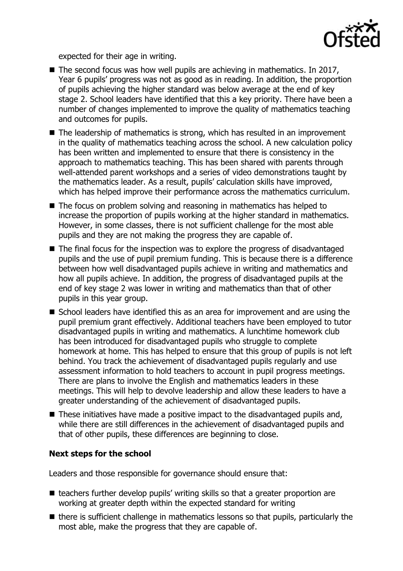

expected for their age in writing.

- $\blacksquare$  The second focus was how well pupils are achieving in mathematics. In 2017, Year 6 pupils' progress was not as good as in reading. In addition, the proportion of pupils achieving the higher standard was below average at the end of key stage 2. School leaders have identified that this a key priority. There have been a number of changes implemented to improve the quality of mathematics teaching and outcomes for pupils.
- The leadership of mathematics is strong, which has resulted in an improvement in the quality of mathematics teaching across the school. A new calculation policy has been written and implemented to ensure that there is consistency in the approach to mathematics teaching. This has been shared with parents through well-attended parent workshops and a series of video demonstrations taught by the mathematics leader. As a result, pupils' calculation skills have improved, which has helped improve their performance across the mathematics curriculum.
- The focus on problem solving and reasoning in mathematics has helped to increase the proportion of pupils working at the higher standard in mathematics. However, in some classes, there is not sufficient challenge for the most able pupils and they are not making the progress they are capable of.
- The final focus for the inspection was to explore the progress of disadvantaged pupils and the use of pupil premium funding. This is because there is a difference between how well disadvantaged pupils achieve in writing and mathematics and how all pupils achieve. In addition, the progress of disadvantaged pupils at the end of key stage 2 was lower in writing and mathematics than that of other pupils in this year group.
- School leaders have identified this as an area for improvement and are using the pupil premium grant effectively. Additional teachers have been employed to tutor disadvantaged pupils in writing and mathematics. A lunchtime homework club has been introduced for disadvantaged pupils who struggle to complete homework at home. This has helped to ensure that this group of pupils is not left behind. You track the achievement of disadvantaged pupils regularly and use assessment information to hold teachers to account in pupil progress meetings. There are plans to involve the English and mathematics leaders in these meetings. This will help to devolve leadership and allow these leaders to have a greater understanding of the achievement of disadvantaged pupils.
- These initiatives have made a positive impact to the disadvantaged pupils and, while there are still differences in the achievement of disadvantaged pupils and that of other pupils, these differences are beginning to close.

### **Next steps for the school**

Leaders and those responsible for governance should ensure that:

- teachers further develop pupils' writing skills so that a greater proportion are working at greater depth within the expected standard for writing
- $\blacksquare$  there is sufficient challenge in mathematics lessons so that pupils, particularly the most able, make the progress that they are capable of.